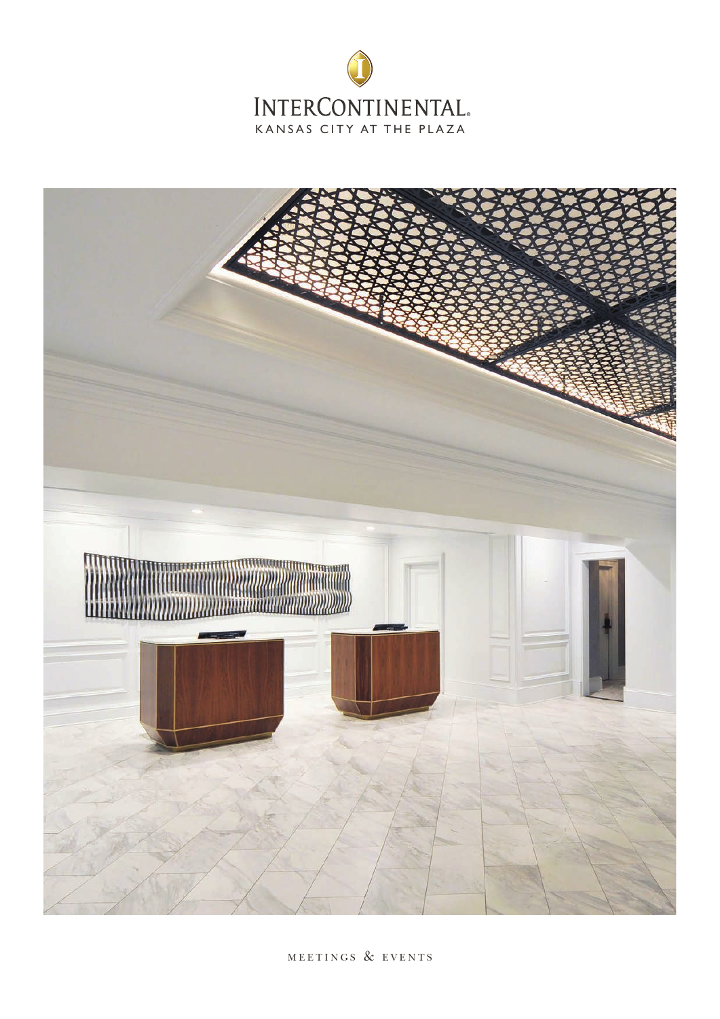



MEETINGS & EVENTS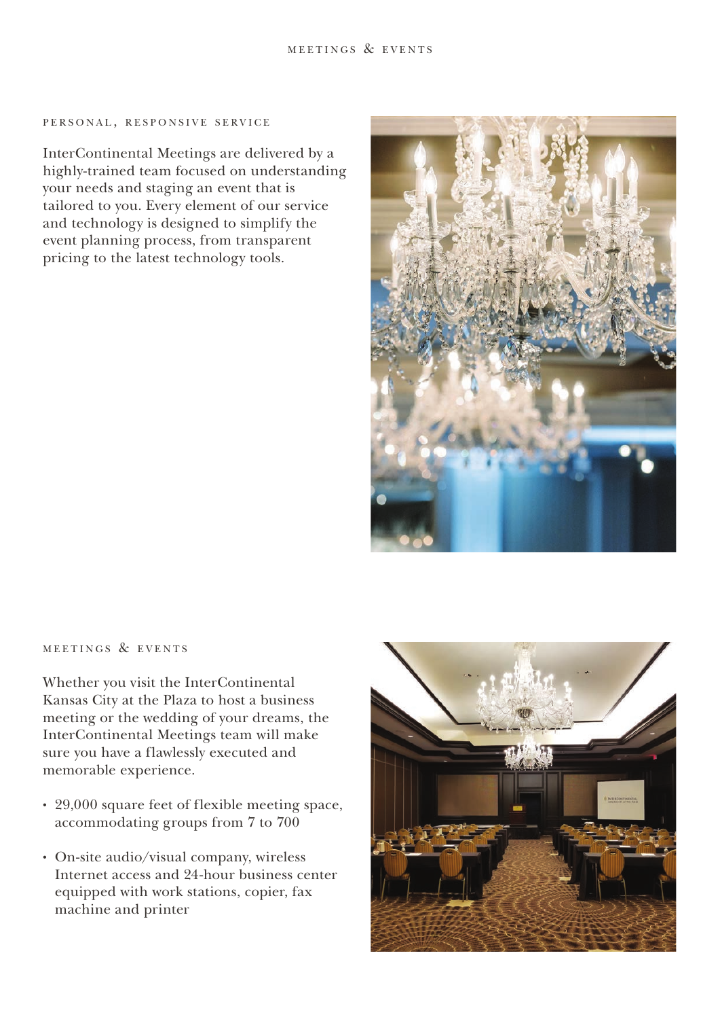### PERSONAL, RESPONSIVE SERVICE

InterContinental Meetings are delivered by a highly-trained team focused on understanding your needs and staging an event that is tailored to you. Every element of our service and technology is designed to simplify the event planning process, from transparent pricing to the latest technology tools.



# MEETINGS & EVENTS

Whether you visit the InterContinental Kansas City at the Plaza to host a business meeting or the wedding of your dreams, the InterContinental Meetings team will make sure you have a flawlessly executed and memorable experience.

- 29,000 square feet of flexible meeting space, accommodating groups from 7 to 700
- On-site audio/visual company, wireless Internet access and 24-hour business center equipped with work stations, copier, fax machine and printer

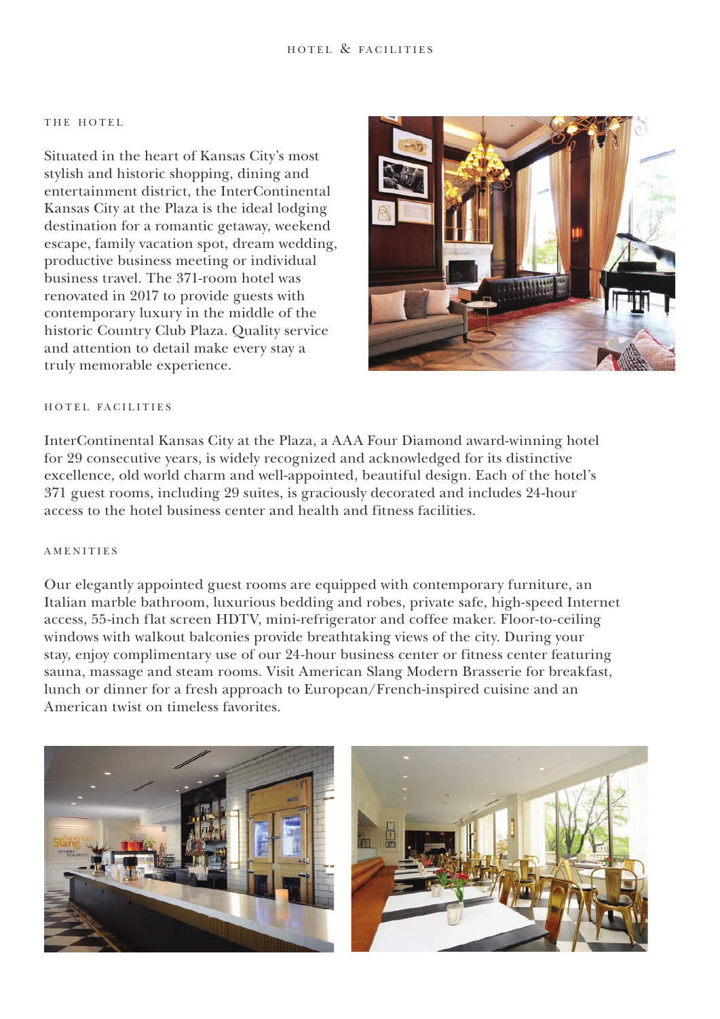### THE HOTEL

Situated in the heart of Kansas City's most stylish and historic shopping, dining and entertainment district, the InterContinental Kansas City at the Plaza is the ideal lodging destination for a romantic getaway, weekend escape, family vacation spot, dream wedding, productive business meeting or individual business travel. The 371-room hotel was renovated in 2017 to provide guests with contemporary luxury in the middle of the historic Country Club Plaza. Quality service and attention to detail make every stay a truly memorable experience.



# HOTEL FACILITIES

InterContinental Kansas City at the Plaza, a AAA Four Diamond award-winning hotel for 29 consecutive years, is widely recognized and acknowledged for its distinctive excellence, old world charm and well-appointed, beautiful design. Each of the hotel's 371 guest rooms, including 29 suites, is graciously decorated and includes 24-hour access to the hotel business center and health and fitness facilities.

## **AMENITIES**

Our elegantly appointed guest rooms are equipped with contemporary furniture, an Italian marble bathroom, luxurious bedding and robes, private safe, high-speed Internet access, 55-inch flat screen HDTV, mini-refrigerator and coffee maker. Floor-to-ceiling windows with walkout balconies provide breathtaking views of the city. During your stay, enjoy complimentary use of our 24-hour business center or fitness center featuring sauna, massage and steam rooms. Visit American Slang Modern Brasserie for breakfast, lunch or dinner for a fresh approach to European/French-inspired cuisine and an American twist on timeless favorites.



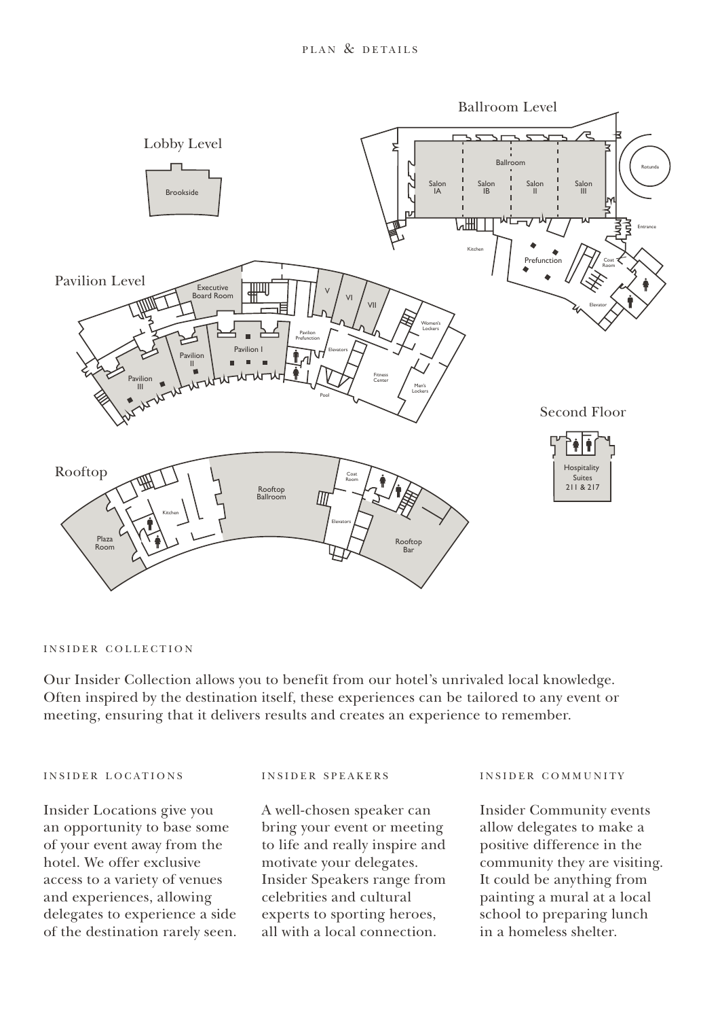

## INSIDER COLLECTION

Our Insider Collection allows you to benefit from our hotel's unrivaled local knowledge. Often inspired by the destination itself, these experiences can be tailored to any event or meeting, ensuring that it delivers results and creates an experience to remember.

## INSIDER LOCATIONS

Insider Locations give you an opportunity to base some of your event away from the hotel. We offer exclusive access to a variety of venues and experiences, allowing delegates to experience a side of the destination rarely seen. II

#### i n s i d e r s p e a k e r s

A well-chosen speaker can bring your event or meeting to life and really inspire and motivate your delegates. Insider Speakers range from celebrities and cultural experts to sporting heroes, all with a local connection. d really inspire a

## i n s i d e r c o m m u n i t y

Insider Community events allow delegates to make a positive difference in the community they are visiting. It could be anything from painting a mural at a local school to preparing lunch in a homeless shelter.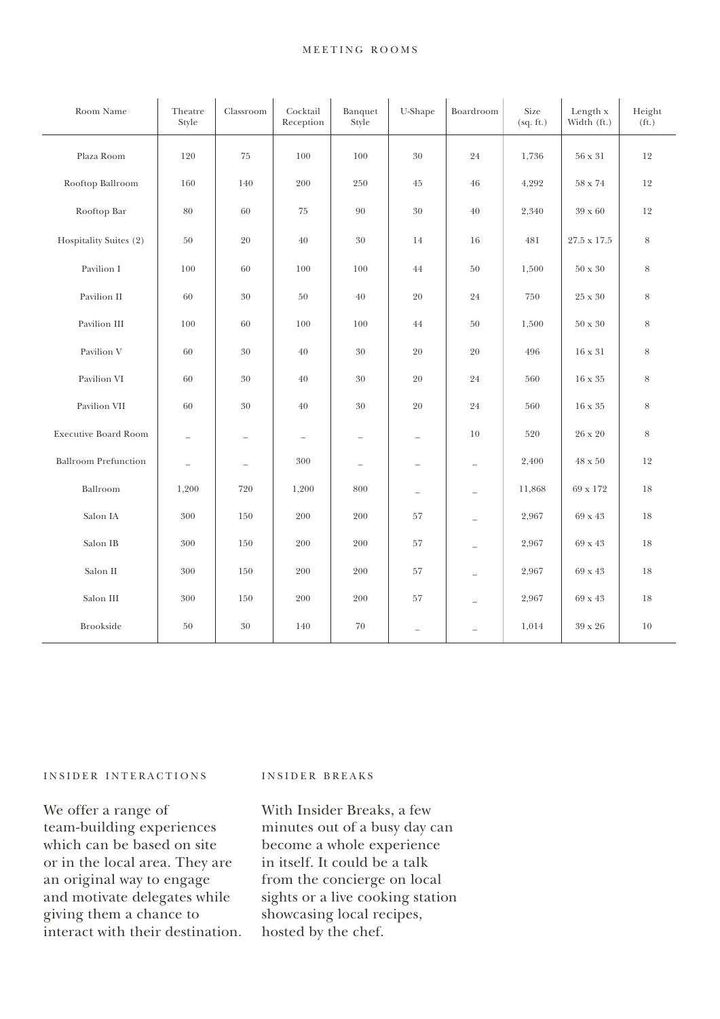## MEETING ROOMS

| Room Name                   | Theatre<br>Style         | Classroom                | Cocktail<br>Reception | Banquet<br>Style                | U-Shape                  | Boardroom                | Size<br>(sq. ft.) | Length x<br>Width (ft.) | Height<br>(f <sub>t</sub> ) |
|-----------------------------|--------------------------|--------------------------|-----------------------|---------------------------------|--------------------------|--------------------------|-------------------|-------------------------|-----------------------------|
| Plaza Room                  | 120                      | 75                       | 100                   | 100                             | 30                       | 24                       | 1,736             | $56 \ge 31$             | 12                          |
| Rooftop Ballroom            | 160                      | 140                      | 200                   | 250                             | 45                       | 46                       | 4,292             | $58$ x $74\,$           | 12                          |
| Rooftop Bar                 | 80                       | 60                       | 75                    | 90                              | $30\,$                   | 40                       | 2,340             | 39 x 60                 | 12                          |
| Hospitality Suites (2)      | 50                       | 20                       | 40                    | 30                              | 14                       | 16                       | 481               | $27.5 \times 17.5$      | 8                           |
| Pavilion I                  | 100                      | 60                       | 100                   | 100                             | 44                       | 50                       | 1,500             | $50 \times 30$          | 8                           |
| Pavilion II                 | 60                       | 30                       | 50                    | 40                              | 20                       | 24                       | 750               | 25 x 30                 | 8                           |
| Pavilion III                | 100                      | 60                       | 100                   | 100                             | 44                       | 50                       | 1,500             | $50 \times 30$          | 8                           |
| Pavilion V                  | 60                       | 30                       | 40                    | 30                              | 20                       | 20                       | 496               | 16 x 31                 | 8                           |
| Pavilion VI                 | 60                       | $30\,$                   | 40                    | 30                              | 20                       | 24                       | 560               | $16 \times 35$          | 8                           |
| Pavilion VII                | 60                       | 30                       | 40                    | 30                              | 20                       | 24                       | 560               | 16 x 35                 | 8                           |
| <b>Executive Board Room</b> | $\overline{\phantom{0}}$ | $\overline{\phantom{0}}$ | $\qquad \qquad -$     | $\overline{\phantom{m}}$        | $\overline{\phantom{0}}$ | 10                       | 520               | 26 x 20                 | $\,8\,$                     |
| <b>Ballroom Prefunction</b> | $\overline{\phantom{0}}$ | $\overline{\phantom{0}}$ | 300                   | $\overbrace{\rule{2.5cm}{0pt}}$ | $\overline{\phantom{0}}$ | $\overline{\phantom{0}}$ | 2,400             | $48 \times 50$          | 12                          |
| Ballroom                    | 1,200                    | 720                      | 1,200                 | 800                             | $\overline{\phantom{0}}$ | $\overline{\phantom{0}}$ | 11,868            | 69 x 172                | 18                          |
| Salon IA                    | 300                      | 150                      | 200                   | 200                             | 57                       | ÷                        | 2,967             | 69 x 43                 | 18                          |
| Salon IB                    | 300                      | 150                      | 200                   | 200                             | 57                       | $\overline{\phantom{0}}$ | 2,967             | 69 x 43                 | 18                          |
| Salon II                    | 300                      | 150                      | 200                   | 200                             | 57                       | $\overline{\phantom{a}}$ | 2,967             | 69 x 43                 | 18                          |
| Salon III                   | 300                      | 150                      | 200                   | 200                             | 57                       | L.                       | 2,967             | 69 x 43                 | 18                          |
| <b>Brookside</b>            | 50                       | 30                       | 140                   | 70                              | $\overline{\phantom{a}}$ | L.                       | 1,014             | 39 x 26                 | $10\,$                      |

### INSIDER INTERACTIONS

We offer a range of team-building experiences which can be based on site or in the local area. They are an original way to engage and motivate delegates while giving them a chance to interact with their destination.

# INSIDER BREAKS

With Insider Breaks, a few minutes out of a busy day can become a whole experience in itself. It could be a talk from the concierge on local sights or a live cooking station showcasing local recipes, hosted by the chef.